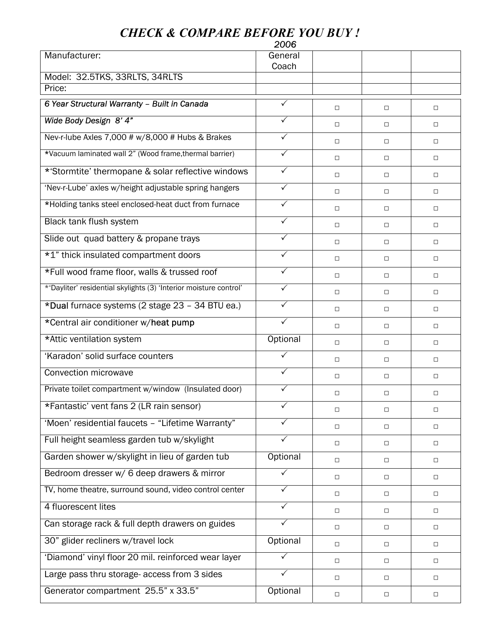## *CHECK & COMPARE BEFORE YOU BUY !*

|                                                                   | 2006             |        |        |        |
|-------------------------------------------------------------------|------------------|--------|--------|--------|
| Manufacturer:                                                     | General<br>Coach |        |        |        |
| Model: 32.5TKS, 33RLTS, 34RLTS                                    |                  |        |        |        |
| Price:                                                            |                  |        |        |        |
| 6 Year Structural Warranty - Built in Canada                      | ✓                | $\Box$ | О      | $\Box$ |
| Wide Body Design 8' 4"                                            | ✓                | $\Box$ | $\Box$ | $\Box$ |
| Nev-r-lube Axles 7,000 # w/8,000 # Hubs & Brakes                  | $\checkmark$     | $\Box$ | $\Box$ | $\Box$ |
| *Vacuum laminated wall 2" (Wood frame, thermal barrier)           | $\checkmark$     | $\Box$ | $\Box$ | $\Box$ |
| *'Stormtite' thermopane & solar reflective windows                | $\checkmark$     | $\Box$ | $\Box$ | $\Box$ |
| 'Nev-r-Lube' axles w/height adjustable spring hangers             | $\checkmark$     | $\Box$ | $\Box$ | $\Box$ |
| *Holding tanks steel enclosed-heat duct from furnace              | $\checkmark$     | $\Box$ | $\Box$ | $\Box$ |
| Black tank flush system                                           | $\checkmark$     | $\Box$ | О      | $\Box$ |
| Slide out quad battery & propane trays                            | $\checkmark$     | $\Box$ | $\Box$ | $\Box$ |
| *1" thick insulated compartment doors                             | $\checkmark$     | $\Box$ | О      | $\Box$ |
| *Full wood frame floor, walls & trussed roof                      | $\checkmark$     | $\Box$ | $\Box$ | $\Box$ |
| *'Dayliter' residential skylights (3) 'Interior moisture control' | $\sqrt{}$        | $\Box$ | $\Box$ | $\Box$ |
| *Dual furnace systems (2 stage 23 - 34 BTU ea.)                   | $\checkmark$     | $\Box$ | $\Box$ | $\Box$ |
| *Central air conditioner w/heat pump                              | $\checkmark$     | $\Box$ | О      | $\Box$ |
| *Attic ventilation system                                         | Optional         | $\Box$ | $\Box$ | $\Box$ |
| 'Karadon' solid surface counters                                  | ✓                | $\Box$ | $\Box$ | $\Box$ |
| Convection microwave                                              | ✓                | $\Box$ | □      | $\Box$ |
| Private toilet compartment w/window (Insulated door)              | ✓                | □      |        | □      |
| *Fantastic' vent fans 2 (LR rain sensor)                          | $\sqrt{}$        | $\Box$ | $\Box$ | $\Box$ |
| 'Moen' residential faucets - "Lifetime Warranty"                  | $\checkmark$     | $\Box$ | $\Box$ | $\Box$ |
| Full height seamless garden tub w/skylight                        | $\checkmark$     | $\Box$ | $\Box$ | $\Box$ |
| Garden shower w/skylight in lieu of garden tub                    | Optional         | $\Box$ | $\Box$ | $\Box$ |
| Bedroom dresser w/ 6 deep drawers & mirror                        | $\checkmark$     | $\Box$ | $\Box$ | $\Box$ |
| TV, home theatre, surround sound, video control center            | $\checkmark$     | $\Box$ | $\Box$ | $\Box$ |
| 4 fluorescent lites                                               | $\checkmark$     | $\Box$ | $\Box$ | $\Box$ |
| Can storage rack & full depth drawers on guides                   | $\checkmark$     | $\Box$ | $\Box$ | $\Box$ |
| 30" glider recliners w/travel lock                                | Optional         | $\Box$ | $\Box$ | $\Box$ |
| 'Diamond' vinyl floor 20 mil. reinforced wear layer               | $\checkmark$     | $\Box$ | $\Box$ | $\Box$ |
| Large pass thru storage- access from 3 sides                      | $\checkmark$     | $\Box$ | О      | □      |
| Generator compartment 25.5" x 33.5"                               | Optional         | $\Box$ | $\Box$ | $\Box$ |